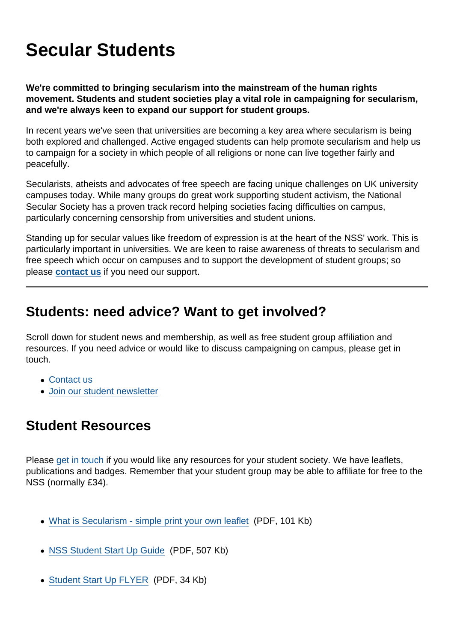## Secular Students

We're committed to bringing secularism into the mainstream of the human rights movement. Students and student societies play a vital role in campaigning for secularism, and we're always keen to expand our support for student groups.

In recent years we've seen that universities are becoming a key area where secularism is being both explored and challenged. Active engaged students can help promote secularism and help us to campaign for a society in which people of all religions or none can live together fairly and peacefully.

Secularists, atheists and advocates of free speech are facing unique challenges on UK university campuses today. While many groups do great work supporting student activism, the National Secular Society has a proven track record helping societies facing difficulties on campus, particularly concerning censorship from universities and student unions.

Standing up for secular values like freedom of expression is at the heart of the NSS' work. This is particularly important in universities. We are keen to raise awareness of threats to secularism and free speech which occur on campuses and to support the development of student groups; so please [contact us](https://www.secularism.org.uk/contact.html) if you need our support.

## Students: need advice? Want to get involved?

Scroll down for student news and membership, as well as free student group affiliation and resources. If you need advice or would like to discuss campaigning on campus, please get in touch.

- [Contact us](https://www.secularism.org.uk/contact.html)
- [Join our student newsletter](https://www.secularism.org.uk/newsline.html)

## Student Resources

Please [get in touch](mailto:admin@secularism.org.uk) if you would like any resources for your student society. We have leaflets, publications and badges. Remember that your student group may be able to affiliate for free to the NSS (normally £34).

- [What is Secularism simple print your own leaflet](https://www.secularism.org.uk/uploads/what-is-secularism---simple-print-your-own-leaflet.pdf?v=1498661678) (PDF, 101 Kb)
- [NSS Student Start Up Guide](https://www.secularism.org.uk/uploads/nss-student-start-up-guide.pdf?v=1498661678) (PDF, 507 Kb)
- [Student Start Up FLYER](https://www.secularism.org.uk/uploads/student-start-up-flyer.pdf?v=1498661678) (PDF, 34 Kb)